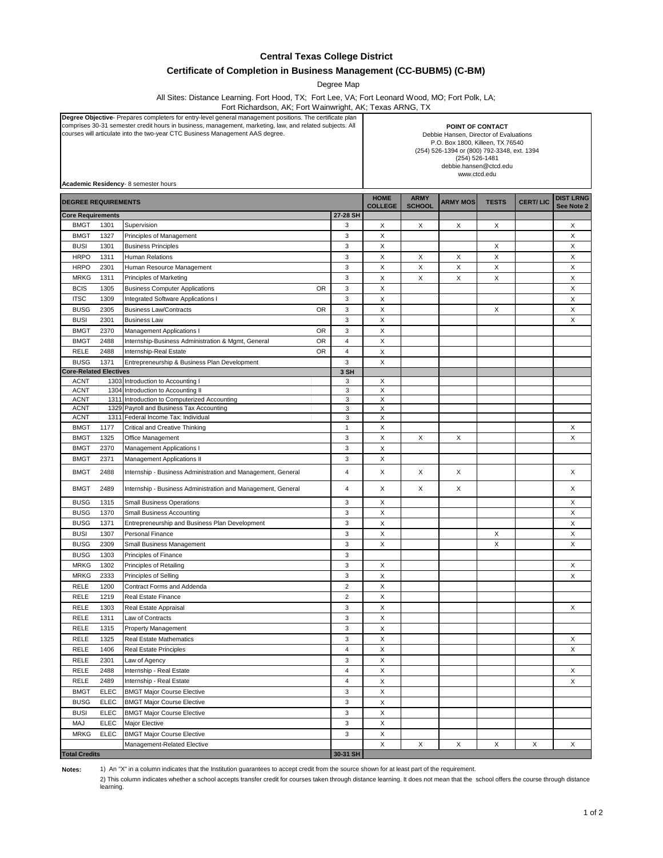## **Central Texas College District**

## **Certificate of Completion in Business Management (CC-BUBM5) (C-BM)**

Degree Map

All Sites: Distance Learning. Fort Hood, TX; Fort Lee, VA; Fort Leonard Wood, MO; Fort Polk, LA;

Fort Richardson, AK; Fort Wainwright, AK; Texas ARNG, TX

| Degree Objective- Prepares completers for entry-level general management positions. The certificate plan<br>comprises 30-31 semester credit hours in business, management, marketing, law, and related subjects. All<br>courses will articulate into the two-year CTC Business Management AAS degree.<br>Academic Residency- 8 semester hours |             |                                                                         |           | POINT OF CONTACT<br>Debbie Hansen, Director of Evaluations<br>P.O. Box 1800, Killeen, TX 76540<br>(254) 526-1394 or (800) 792-3348, ext. 1394<br>(254) 526-1481<br>debbie.hansen@ctcd.edu<br>www.ctcd.edu |                               |               |                 |              |                 |                                |
|-----------------------------------------------------------------------------------------------------------------------------------------------------------------------------------------------------------------------------------------------------------------------------------------------------------------------------------------------|-------------|-------------------------------------------------------------------------|-----------|-----------------------------------------------------------------------------------------------------------------------------------------------------------------------------------------------------------|-------------------------------|---------------|-----------------|--------------|-----------------|--------------------------------|
| <b>DEGREE REQUIREMENTS</b>                                                                                                                                                                                                                                                                                                                    |             |                                                                         |           |                                                                                                                                                                                                           | <b>HOME</b><br><b>COLLEGE</b> | <b>ARMY</b>   | <b>ARMY MOS</b> | <b>TESTS</b> | <b>CERT/LIC</b> | <b>DIST LRNG</b><br>See Note 2 |
| <b>Core Requirements</b>                                                                                                                                                                                                                                                                                                                      |             |                                                                         |           | 27-28 SH                                                                                                                                                                                                  |                               | <b>SCHOOL</b> |                 |              |                 |                                |
| <b>BMGT</b>                                                                                                                                                                                                                                                                                                                                   | 1301        | Supervision                                                             |           | 3                                                                                                                                                                                                         | х                             | Χ             | Х               | х            |                 | х                              |
| <b>BMGT</b>                                                                                                                                                                                                                                                                                                                                   | 1327        | Principles of Management                                                |           | 3                                                                                                                                                                                                         | X                             |               |                 |              |                 | X                              |
| <b>BUSI</b>                                                                                                                                                                                                                                                                                                                                   | 1301        | <b>Business Principles</b>                                              |           | 3                                                                                                                                                                                                         | X                             |               |                 | Х            |                 | X                              |
| <b>HRPO</b>                                                                                                                                                                                                                                                                                                                                   | 1311        | <b>Human Relations</b>                                                  |           | 3                                                                                                                                                                                                         | X                             | Х             | X               | X            |                 | X                              |
| <b>HRPO</b>                                                                                                                                                                                                                                                                                                                                   | 2301        | Human Resource Management                                               |           | $\mathsf 3$                                                                                                                                                                                               | X                             | $\mathsf X$   | X               | Χ            |                 | X                              |
| <b>MRKG</b>                                                                                                                                                                                                                                                                                                                                   | 1311        | Principles of Marketing                                                 |           | 3                                                                                                                                                                                                         | X                             | X             | X               | X            |                 | X                              |
| <b>BCIS</b>                                                                                                                                                                                                                                                                                                                                   | 1305        | <b>Business Computer Applications</b>                                   | <b>OR</b> | 3                                                                                                                                                                                                         | X                             |               |                 |              |                 | X                              |
| <b>ITSC</b>                                                                                                                                                                                                                                                                                                                                   | 1309        | <b>Integrated Software Applications I</b>                               |           | 3                                                                                                                                                                                                         | X                             |               |                 |              |                 | X                              |
| <b>BUSG</b>                                                                                                                                                                                                                                                                                                                                   | 2305        | <b>Business Law/Contracts</b>                                           | 0R        | 3                                                                                                                                                                                                         | Х                             |               |                 | х            |                 | х                              |
| <b>BUSI</b>                                                                                                                                                                                                                                                                                                                                   | 2301        | <b>Business Law</b>                                                     |           | 3                                                                                                                                                                                                         | X                             |               |                 |              |                 | X                              |
| <b>BMGT</b>                                                                                                                                                                                                                                                                                                                                   | 2370        | Management Applications I                                               | OR        | 3                                                                                                                                                                                                         | X                             |               |                 |              |                 |                                |
| <b>BMGT</b>                                                                                                                                                                                                                                                                                                                                   | 2488        | Internship-Business Administration & Mgmt, General                      | 0R        | $\overline{4}$                                                                                                                                                                                            | X                             |               |                 |              |                 |                                |
| RELE                                                                                                                                                                                                                                                                                                                                          | 2488        | Internship-Real Estate                                                  | <b>OR</b> | $\overline{4}$                                                                                                                                                                                            | X                             |               |                 |              |                 |                                |
| <b>BUSG</b>                                                                                                                                                                                                                                                                                                                                   | 1371        | Entrepreneurship & Business Plan Development                            |           | 3                                                                                                                                                                                                         | X                             |               |                 |              |                 |                                |
| <b>Core-Related Electives</b>                                                                                                                                                                                                                                                                                                                 |             |                                                                         |           | 3 SH                                                                                                                                                                                                      |                               |               |                 |              |                 |                                |
| <b>ACNT</b><br><b>ACNT</b>                                                                                                                                                                                                                                                                                                                    |             | 1303 Introduction to Accounting I<br>1304 Introduction to Accounting II |           | 3<br>3                                                                                                                                                                                                    | х<br>X                        |               |                 |              |                 |                                |
| <b>ACNT</b>                                                                                                                                                                                                                                                                                                                                   |             | 1311 Introduction to Computerized Accounting                            |           | 3                                                                                                                                                                                                         | Х                             |               |                 |              |                 |                                |
| <b>ACNT</b>                                                                                                                                                                                                                                                                                                                                   |             | 1329 Payroll and Business Tax Accounting                                |           | 3                                                                                                                                                                                                         | Χ                             |               |                 |              |                 |                                |
| <b>ACNT</b>                                                                                                                                                                                                                                                                                                                                   | 1311        | Federal Income Tax: Individual                                          |           | 3                                                                                                                                                                                                         | X                             |               |                 |              |                 |                                |
| <b>BMGT</b>                                                                                                                                                                                                                                                                                                                                   | 1177        | <b>Critical and Creative Thinking</b>                                   |           | $\mathbf{1}$                                                                                                                                                                                              | X                             |               |                 |              |                 | X                              |
| <b>BMGT</b>                                                                                                                                                                                                                                                                                                                                   | 1325        | Office Management                                                       |           | 3                                                                                                                                                                                                         | X                             | X             | Х               |              |                 | X                              |
| <b>BMGT</b>                                                                                                                                                                                                                                                                                                                                   | 2370        | <b>Management Applications I</b>                                        |           | 3                                                                                                                                                                                                         | X                             |               |                 |              |                 |                                |
| <b>BMGT</b>                                                                                                                                                                                                                                                                                                                                   | 2371        | Management Applications II                                              |           | 3                                                                                                                                                                                                         | х                             |               |                 |              |                 |                                |
| <b>BMGT</b>                                                                                                                                                                                                                                                                                                                                   | 2488        | Internship - Business Administration and Management, General            |           | $\overline{4}$                                                                                                                                                                                            | X                             | X             | X               |              |                 | х                              |
| <b>BMGT</b>                                                                                                                                                                                                                                                                                                                                   | 2489        | Internship - Business Administration and Management, General            |           | $\overline{4}$                                                                                                                                                                                            | Х                             | Χ             | X               |              |                 | Х                              |
| <b>BUSG</b>                                                                                                                                                                                                                                                                                                                                   | 1315        | <b>Small Business Operations</b>                                        |           | 3                                                                                                                                                                                                         | х                             |               |                 |              |                 | Х                              |
| <b>BUSG</b>                                                                                                                                                                                                                                                                                                                                   | 1370        | Small Business Accounting                                               |           | 3                                                                                                                                                                                                         | X                             |               |                 |              |                 | X                              |
| <b>BUSG</b>                                                                                                                                                                                                                                                                                                                                   | 1371        | Entrepreneurship and Business Plan Development                          |           | 3                                                                                                                                                                                                         | X                             |               |                 |              |                 | X                              |
| <b>BUSI</b>                                                                                                                                                                                                                                                                                                                                   | 1307        | Personal Finance                                                        |           | 3                                                                                                                                                                                                         | X                             |               |                 | х            |                 | Χ                              |
| <b>BUSG</b>                                                                                                                                                                                                                                                                                                                                   | 2309        | Small Business Management                                               |           | 3                                                                                                                                                                                                         | Χ                             |               |                 | Χ            |                 | X                              |
| <b>BUSG</b>                                                                                                                                                                                                                                                                                                                                   | 1303        | Principles of Finance                                                   |           | $\mathsf 3$                                                                                                                                                                                               |                               |               |                 |              |                 |                                |
| <b>MRKG</b>                                                                                                                                                                                                                                                                                                                                   | 1302        | Principles of Retailing                                                 |           | 3                                                                                                                                                                                                         | Х                             |               |                 |              |                 | X                              |
| <b>MRKG</b>                                                                                                                                                                                                                                                                                                                                   | 2333        | Principles of Selling                                                   |           | 3                                                                                                                                                                                                         | X                             |               |                 |              |                 | х                              |
| RELE                                                                                                                                                                                                                                                                                                                                          | 1200        | Contract Forms and Addenda                                              |           | $\overline{2}$                                                                                                                                                                                            | X                             |               |                 |              |                 |                                |
| RELE                                                                                                                                                                                                                                                                                                                                          | 1219        | Real Estate Finance                                                     |           | 2                                                                                                                                                                                                         | Χ                             |               |                 |              |                 |                                |
| RELE                                                                                                                                                                                                                                                                                                                                          | 1303        | Real Estate Appraisal                                                   |           | 3                                                                                                                                                                                                         | X                             |               |                 |              |                 | X                              |
| RELE                                                                                                                                                                                                                                                                                                                                          | 1311        | Law of Contracts                                                        |           | 3                                                                                                                                                                                                         | X                             |               |                 |              |                 |                                |
| RELE                                                                                                                                                                                                                                                                                                                                          | 1315        | Property Management                                                     |           | 3                                                                                                                                                                                                         | Χ                             |               |                 |              |                 |                                |
| RELE                                                                                                                                                                                                                                                                                                                                          | 1325        | Real Estate Mathematics                                                 |           | 3                                                                                                                                                                                                         | X                             |               |                 |              |                 | х                              |
| RELE                                                                                                                                                                                                                                                                                                                                          | 1406        | Real Estate Principles                                                  |           | $\overline{\mathbf{4}}$                                                                                                                                                                                   | X                             |               |                 |              |                 | X                              |
| RELE                                                                                                                                                                                                                                                                                                                                          | 2301        | Law of Agency                                                           |           | 3                                                                                                                                                                                                         | X                             |               |                 |              |                 |                                |
| RELE                                                                                                                                                                                                                                                                                                                                          | 2488        | Internship - Real Estate                                                |           | $\overline{4}$                                                                                                                                                                                            | X                             |               |                 |              |                 | X                              |
| RELE                                                                                                                                                                                                                                                                                                                                          | 2489        | Internship - Real Estate                                                |           | $\overline{\mathbf{4}}$                                                                                                                                                                                   | X                             |               |                 |              |                 | X                              |
| <b>BMGT</b>                                                                                                                                                                                                                                                                                                                                   | <b>ELEC</b> | <b>BMGT Major Course Elective</b>                                       |           | 3                                                                                                                                                                                                         | X                             |               |                 |              |                 |                                |
| <b>BUSG</b>                                                                                                                                                                                                                                                                                                                                   | <b>ELEC</b> | <b>BMGT Major Course Elective</b>                                       |           | 3                                                                                                                                                                                                         | X                             |               |                 |              |                 |                                |
| <b>BUSI</b>                                                                                                                                                                                                                                                                                                                                   | <b>ELEC</b> | <b>BMGT Major Course Elective</b>                                       |           | 3                                                                                                                                                                                                         | X                             |               |                 |              |                 |                                |
| MAJ                                                                                                                                                                                                                                                                                                                                           | <b>ELEC</b> | Major Elective                                                          |           | 3                                                                                                                                                                                                         | Χ                             |               |                 |              |                 |                                |
| <b>MRKG</b>                                                                                                                                                                                                                                                                                                                                   | <b>ELEC</b> | <b>BMGT Major Course Elective</b>                                       |           | 3                                                                                                                                                                                                         | X                             |               |                 |              |                 |                                |
|                                                                                                                                                                                                                                                                                                                                               |             | Management-Related Elective                                             |           |                                                                                                                                                                                                           | Χ                             | X             | X               | X            | X               | X                              |
| <b>Total Credits</b>                                                                                                                                                                                                                                                                                                                          |             |                                                                         |           | 30-31 SH                                                                                                                                                                                                  |                               |               |                 |              |                 |                                |

**Notes:**

1) An "X" in a column indicates that the Institution guarantees to accept credit from the source shown for at least part of the requirement.

2) This column indicates whether a school accepts transfer credit for courses taken through distance learning. It does not mean that the school offers the course through distance learning.